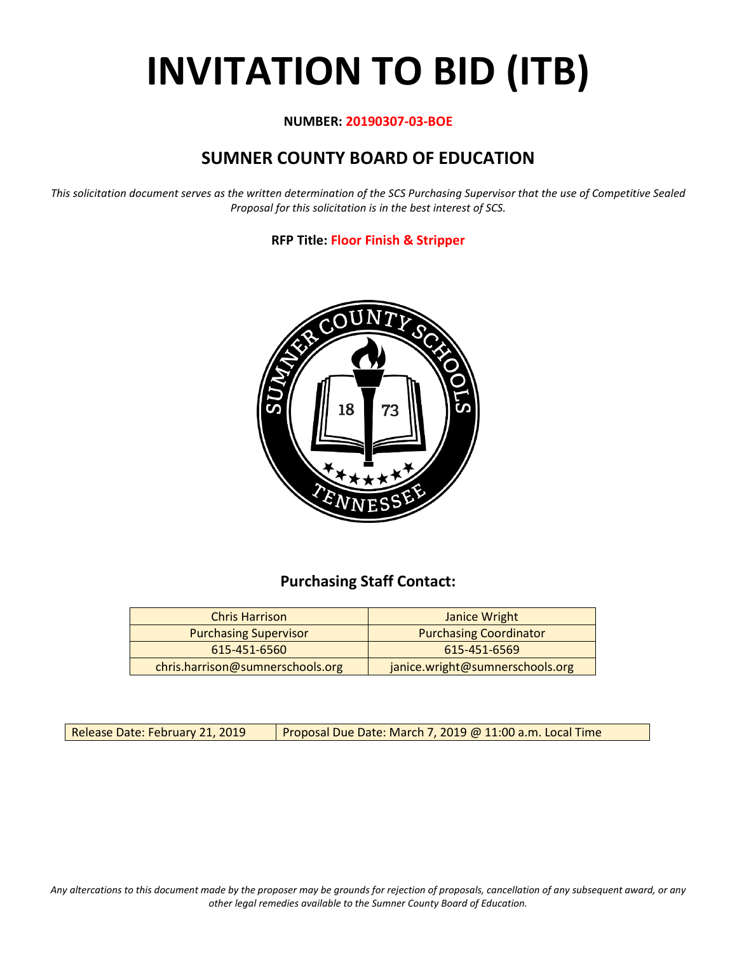# **INVITATION TO BID (ITB)**

#### **NUMBER: 20190307-03-BOE**

## **SUMNER COUNTY BOARD OF EDUCATION**

*This solicitation document serves as the written determination of the SCS Purchasing Supervisor that the use of Competitive Sealed Proposal for this solicitation is in the best interest of SCS.*

#### **RFP Title: Floor Finish & Stripper**



## **Purchasing Staff Contact:**

| <b>Chris Harrison</b>            | Janice Wright                   |
|----------------------------------|---------------------------------|
| <b>Purchasing Supervisor</b>     | <b>Purchasing Coordinator</b>   |
| 615-451-6560                     | 615-451-6569                    |
| chris.harrison@sumnerschools.org | janice.wright@sumnerschools.org |

Release Date: February 21, 2019  $\vert$  Proposal Due Date: March 7, 2019 @ 11:00 a.m. Local Time

*Any altercations to this document made by the proposer may be grounds for rejection of proposals, cancellation of any subsequent award, or any other legal remedies available to the Sumner County Board of Education.*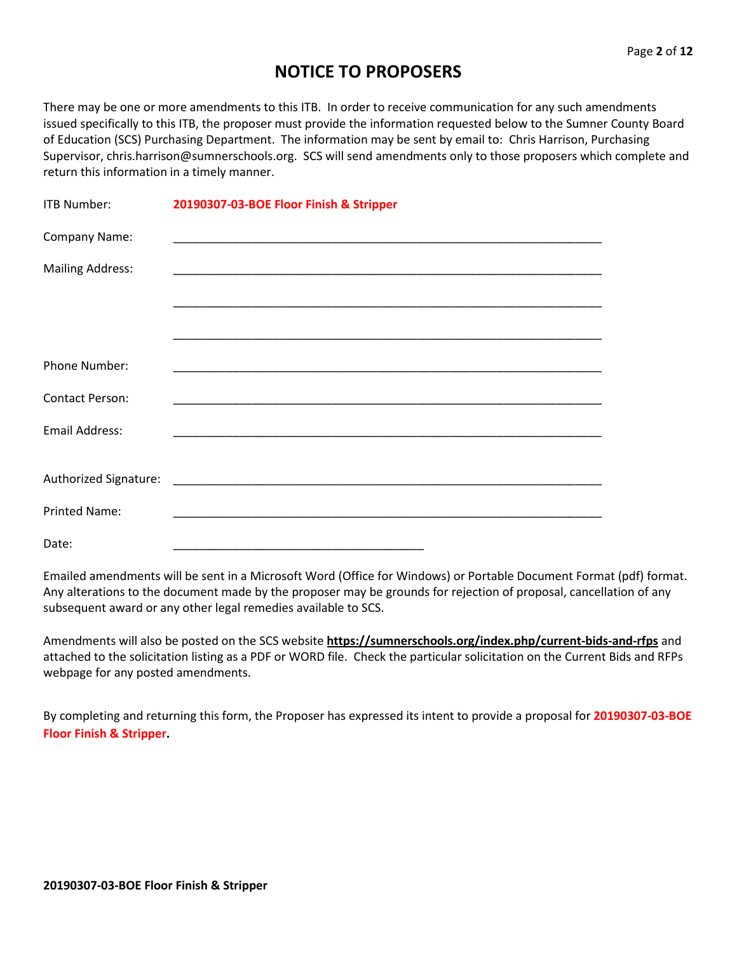## **NOTICE TO PROPOSERS**

There may be one or more amendments to this ITB. In order to receive communication for any such amendments issued specifically to this ITB, the proposer must provide the information requested below to the Sumner County Board of Education (SCS) Purchasing Department. The information may be sent by email to: Chris Harrison, Purchasing Supervisor, chris.harrison@sumnerschools.org. SCS will send amendments only to those proposers which complete and return this information in a timely manner.

| <b>ITB Number:</b>      | 20190307-03-BOE Floor Finish & Stripper                     |  |  |
|-------------------------|-------------------------------------------------------------|--|--|
| Company Name:           |                                                             |  |  |
| <b>Mailing Address:</b> |                                                             |  |  |
|                         |                                                             |  |  |
|                         |                                                             |  |  |
| Phone Number:           | <u> 1989 - Johann Stoff, amerikansk politiker (d. 1989)</u> |  |  |
| <b>Contact Person:</b>  |                                                             |  |  |
| <b>Email Address:</b>   |                                                             |  |  |
|                         |                                                             |  |  |
| Authorized Signature:   |                                                             |  |  |
| <b>Printed Name:</b>    |                                                             |  |  |
| Date:                   |                                                             |  |  |

Emailed amendments will be sent in a Microsoft Word (Office for Windows) or Portable Document Format (pdf) format. Any alterations to the document made by the proposer may be grounds for rejection of proposal, cancellation of any subsequent award or any other legal remedies available to SCS.

Amendments will also be posted on the SCS website **https://sumnerschools.org/index.php/current-bids-and-rfps** and attached to the solicitation listing as a PDF or WORD file. Check the particular solicitation on the Current Bids and RFPs webpage for any posted amendments.

By completing and returning this form, the Proposer has expressed its intent to provide a proposal for **20190307-03-BOE Floor Finish & Stripper.**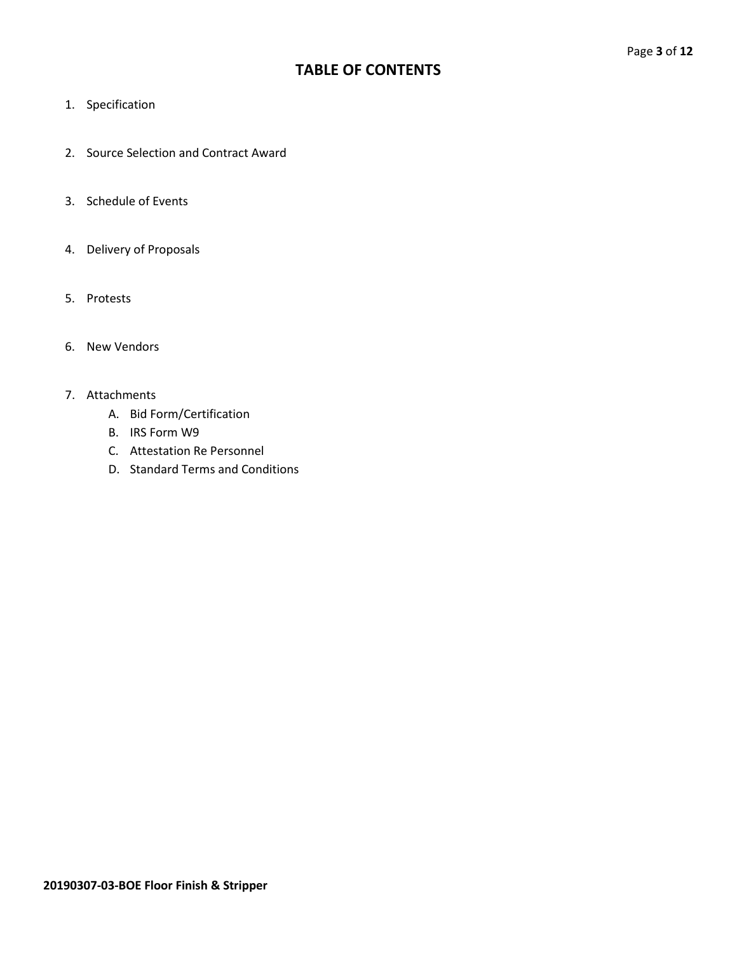## **TABLE OF CONTENTS**

- 1. Specification
- 2. Source Selection and Contract Award
- 3. Schedule of Events
- 4. Delivery of Proposals
- 5. Protests
- 6. New Vendors

#### 7. Attachments

- A. Bid Form/Certification
- B. IRS Form W9
- C. Attestation Re Personnel
- D. Standard Terms and Conditions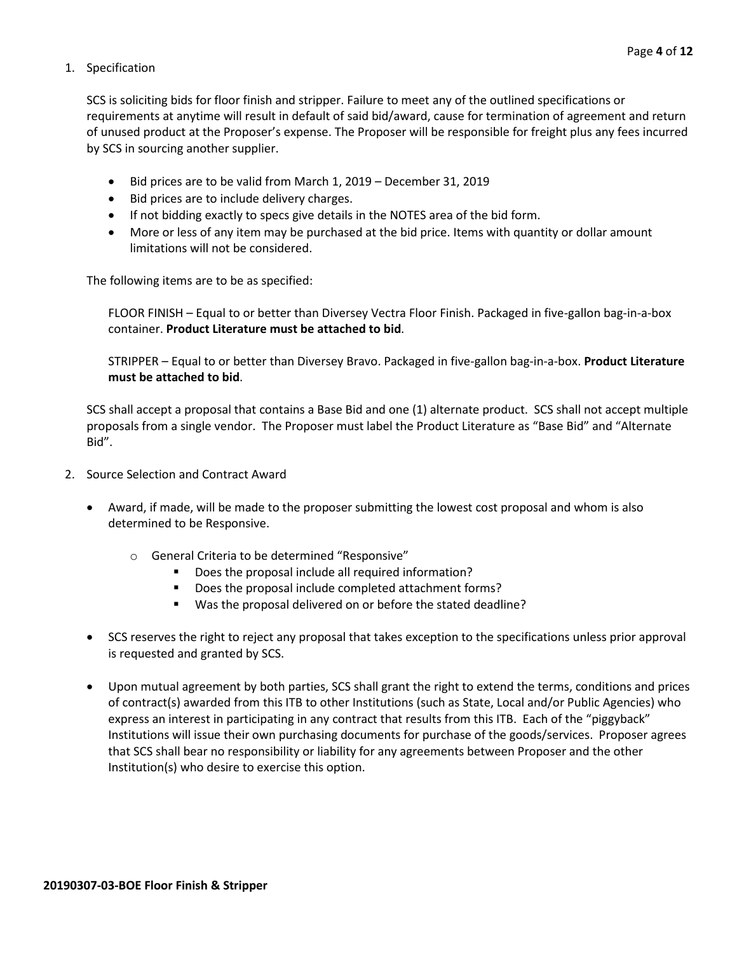#### 1. Specification

SCS is soliciting bids for floor finish and stripper. Failure to meet any of the outlined specifications or requirements at anytime will result in default of said bid/award, cause for termination of agreement and return of unused product at the Proposer's expense. The Proposer will be responsible for freight plus any fees incurred by SCS in sourcing another supplier.

- Bid prices are to be valid from March 1, 2019 December 31, 2019
- Bid prices are to include delivery charges.
- If not bidding exactly to specs give details in the NOTES area of the bid form.
- More or less of any item may be purchased at the bid price. Items with quantity or dollar amount limitations will not be considered.

The following items are to be as specified:

FLOOR FINISH – Equal to or better than Diversey Vectra Floor Finish. Packaged in five-gallon bag-in-a-box container. **Product Literature must be attached to bid**.

STRIPPER – Equal to or better than Diversey Bravo. Packaged in five-gallon bag-in-a-box. **Product Literature must be attached to bid**.

SCS shall accept a proposal that contains a Base Bid and one (1) alternate product. SCS shall not accept multiple proposals from a single vendor. The Proposer must label the Product Literature as "Base Bid" and "Alternate Bid".

- 2. Source Selection and Contract Award
	- Award, if made, will be made to the proposer submitting the lowest cost proposal and whom is also determined to be Responsive.
		- o General Criteria to be determined "Responsive"
			- Does the proposal include all required information?
			- **•** Does the proposal include completed attachment forms?
			- Was the proposal delivered on or before the stated deadline?
	- SCS reserves the right to reject any proposal that takes exception to the specifications unless prior approval is requested and granted by SCS.
	- Upon mutual agreement by both parties, SCS shall grant the right to extend the terms, conditions and prices of contract(s) awarded from this ITB to other Institutions (such as State, Local and/or Public Agencies) who express an interest in participating in any contract that results from this ITB. Each of the "piggyback" Institutions will issue their own purchasing documents for purchase of the goods/services. Proposer agrees that SCS shall bear no responsibility or liability for any agreements between Proposer and the other Institution(s) who desire to exercise this option.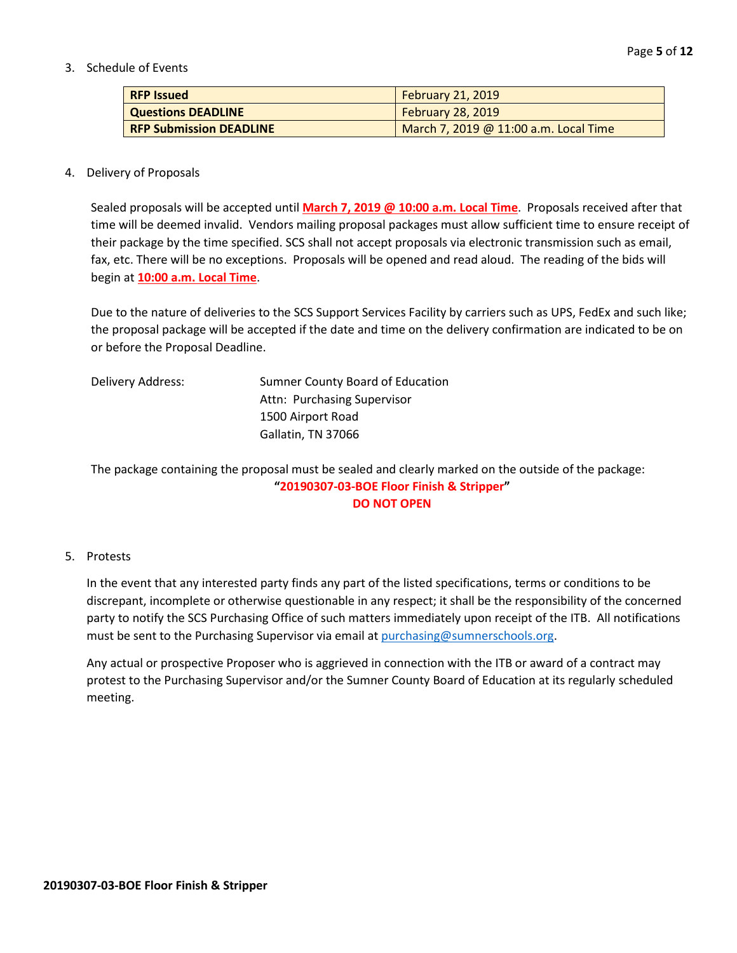3. Schedule of Events

| <b>RFP Issued</b>              | <b>February 21, 2019</b>              |
|--------------------------------|---------------------------------------|
| <b>Questions DEADLINE</b>      | <b>February 28, 2019</b>              |
| <b>RFP Submission DEADLINE</b> | March 7, 2019 @ 11:00 a.m. Local Time |

#### 4. Delivery of Proposals

Sealed proposals will be accepted until **March 7, 2019 @ 10:00 a.m. Local Time**. Proposals received after that time will be deemed invalid. Vendors mailing proposal packages must allow sufficient time to ensure receipt of their package by the time specified. SCS shall not accept proposals via electronic transmission such as email, fax, etc. There will be no exceptions. Proposals will be opened and read aloud. The reading of the bids will begin at **10:00 a.m. Local Time**.

Due to the nature of deliveries to the SCS Support Services Facility by carriers such as UPS, FedEx and such like; the proposal package will be accepted if the date and time on the delivery confirmation are indicated to be on or before the Proposal Deadline.

| Delivery Address: | Sumner County Board of Education |
|-------------------|----------------------------------|
|                   | Attn: Purchasing Supervisor      |
|                   | 1500 Airport Road                |
|                   | Gallatin, TN 37066               |

The package containing the proposal must be sealed and clearly marked on the outside of the package: **"20190307-03-BOE Floor Finish & Stripper" DO NOT OPEN**

#### 5. Protests

In the event that any interested party finds any part of the listed specifications, terms or conditions to be discrepant, incomplete or otherwise questionable in any respect; it shall be the responsibility of the concerned party to notify the SCS Purchasing Office of such matters immediately upon receipt of the ITB. All notifications must be sent to the Purchasing Supervisor via email at [purchasing@sumnerschools.org.](mailto:purchasing@sumnerschools.org)

Any actual or prospective Proposer who is aggrieved in connection with the ITB or award of a contract may protest to the Purchasing Supervisor and/or the Sumner County Board of Education at its regularly scheduled meeting.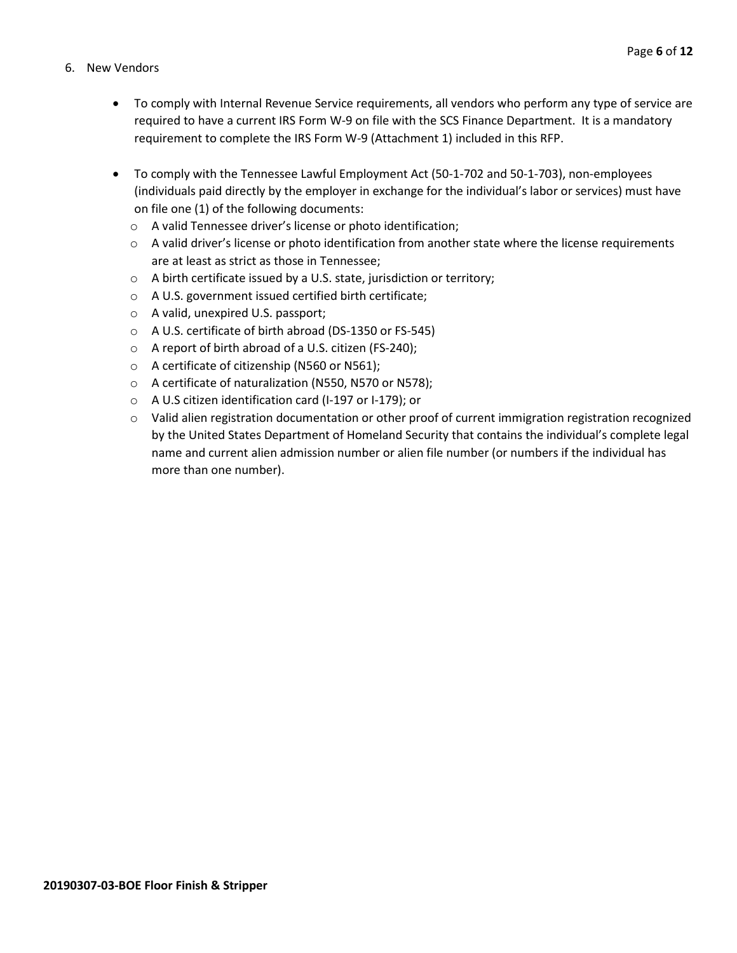#### 6. New Vendors

- To comply with Internal Revenue Service requirements, all vendors who perform any type of service are required to have a current IRS Form W-9 on file with the SCS Finance Department. It is a mandatory requirement to complete the IRS Form W-9 (Attachment 1) included in this RFP.
- To comply with the Tennessee Lawful Employment Act (50-1-702 and 50-1-703), non-employees (individuals paid directly by the employer in exchange for the individual's labor or services) must have on file one (1) of the following documents:
	- o A valid Tennessee driver's license or photo identification;
	- $\circ$  A valid driver's license or photo identification from another state where the license requirements are at least as strict as those in Tennessee;
	- o A birth certificate issued by a U.S. state, jurisdiction or territory;
	- o A U.S. government issued certified birth certificate;
	- o A valid, unexpired U.S. passport;
	- o A U.S. certificate of birth abroad (DS-1350 or FS-545)
	- o A report of birth abroad of a U.S. citizen (FS-240);
	- o A certificate of citizenship (N560 or N561);
	- o A certificate of naturalization (N550, N570 or N578);
	- o A U.S citizen identification card (I-197 or I-179); or
	- $\circ$  Valid alien registration documentation or other proof of current immigration registration recognized by the United States Department of Homeland Security that contains the individual's complete legal name and current alien admission number or alien file number (or numbers if the individual has more than one number).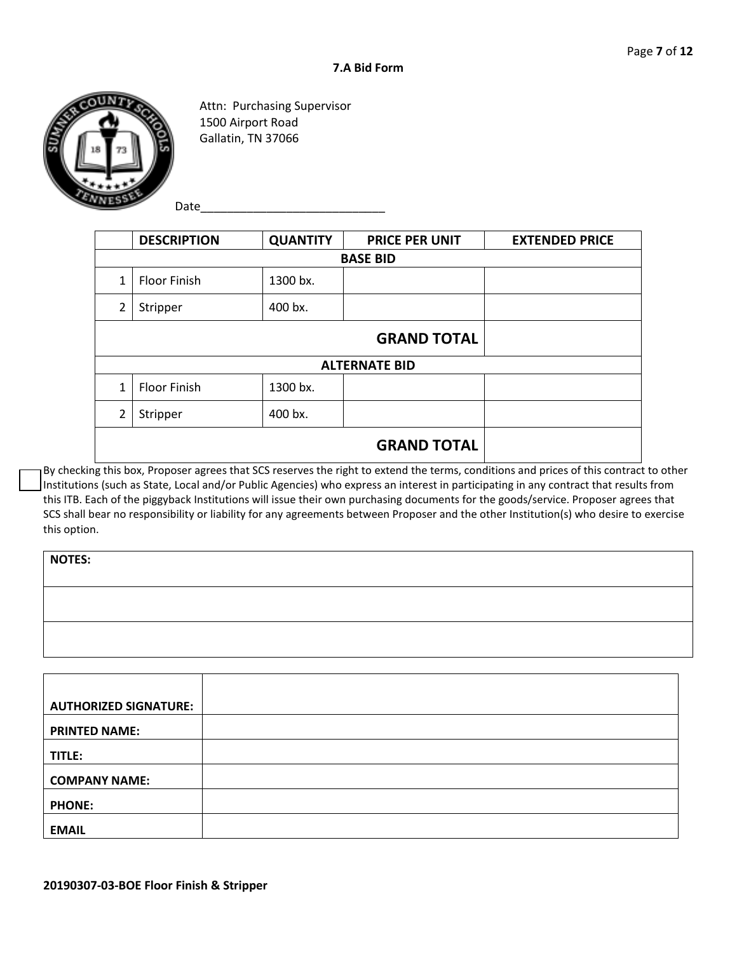

Attn: Purchasing Supervisor 1500 Airport Road Gallatin, TN 37066

Date

|                 | <b>DESCRIPTION</b>  | <b>QUANTITY</b> | <b>PRICE PER UNIT</b> | <b>EXTENDED PRICE</b> |
|-----------------|---------------------|-----------------|-----------------------|-----------------------|
| <b>BASE BID</b> |                     |                 |                       |                       |
| 1               | <b>Floor Finish</b> | 1300 bx.        |                       |                       |
| $\overline{2}$  | 400 bx.<br>Stripper |                 |                       |                       |
|                 |                     |                 | <b>GRAND TOTAL</b>    |                       |
|                 |                     |                 | <b>ALTERNATE BID</b>  |                       |
| 1               | <b>Floor Finish</b> | 1300 bx.        |                       |                       |
| $\overline{2}$  | Stripper            | 400 bx.         |                       |                       |
|                 |                     |                 | <b>GRAND TOTAL</b>    |                       |
|                 |                     |                 |                       |                       |

By checking this box, Proposer agrees that SCS reserves the right to extend the terms, conditions and prices of this contract to other Institutions (such as State, Local and/or Public Agencies) who express an interest in participating in any contract that results from this ITB. Each of the piggyback Institutions will issue their own purchasing documents for the goods/service. Proposer agrees that SCS shall bear no responsibility or liability for any agreements between Proposer and the other Institution(s) who desire to exercise this option.

| <b>NOTES:</b> |  |
|---------------|--|
|               |  |
|               |  |
|               |  |
|               |  |
|               |  |

| <b>AUTHORIZED SIGNATURE:</b> |  |
|------------------------------|--|
| <b>PRINTED NAME:</b>         |  |
| TITLE:                       |  |
| <b>COMPANY NAME:</b>         |  |
| <b>PHONE:</b>                |  |
| <b>EMAIL</b>                 |  |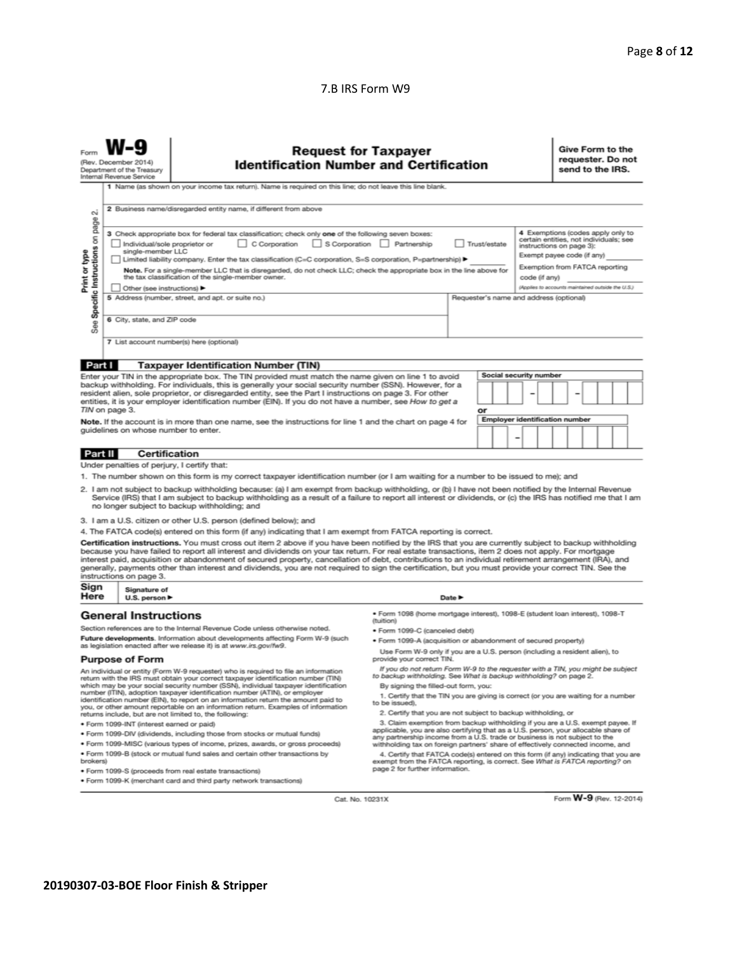#### 7.B IRS Form W9

|                                                                                                                                                                                                                                                                                                                                                                                                                                                                                                                                                                                                                                                                                                                                                                                                     | <b>Request for Taxpayer</b><br>(Rev. December 2014)<br><b>Identification Number and Certification</b><br>Department of the Treasury<br>Internal Revenue Service<br>1 Name (as shown on your income tax return). Name is required on this line; do not leave this line blank.                                                                                                                                                                                                                                                                                                                                                                                                                                                                                                                                                                                                                                                                                                                                                                                                                       |                                                                                                                                                                                                                                                                                                                                                                                                                                                                                                                                                |                            |  | Give Form to the<br>requester. Do not<br>send to the IRS. |  |  |
|-----------------------------------------------------------------------------------------------------------------------------------------------------------------------------------------------------------------------------------------------------------------------------------------------------------------------------------------------------------------------------------------------------------------------------------------------------------------------------------------------------------------------------------------------------------------------------------------------------------------------------------------------------------------------------------------------------------------------------------------------------------------------------------------------------|----------------------------------------------------------------------------------------------------------------------------------------------------------------------------------------------------------------------------------------------------------------------------------------------------------------------------------------------------------------------------------------------------------------------------------------------------------------------------------------------------------------------------------------------------------------------------------------------------------------------------------------------------------------------------------------------------------------------------------------------------------------------------------------------------------------------------------------------------------------------------------------------------------------------------------------------------------------------------------------------------------------------------------------------------------------------------------------------------|------------------------------------------------------------------------------------------------------------------------------------------------------------------------------------------------------------------------------------------------------------------------------------------------------------------------------------------------------------------------------------------------------------------------------------------------------------------------------------------------------------------------------------------------|----------------------------|--|-----------------------------------------------------------|--|--|
| Print or type                                                                                                                                                                                                                                                                                                                                                                                                                                                                                                                                                                                                                                                                                                                                                                                       | 2 Business name/disregarded entity name, if different from above<br>σû<br>page<br>4 Exemptions (codes apply only to<br>3 Check appropriate box for federal tax classification; check only one of the following seven boxes:<br>Specific Instructions on<br>certain entities, not individuals; see<br>C Corporation<br>S Corporation Partnership<br>Individual/sole proprietor or<br>Trust/estate<br>instructions on page 3):<br>single-member LLC<br>Exempt payee code (if any)<br>Limited liability company. Enter the tax classification (C=C corporation, S=S corporation, P=partnership) ▶<br>Exemption from FATCA reporting<br>Note. For a single-member LLC that is disregarded, do not check LLC; check the appropriate box in the line above for<br>the tax classification of the single-member owner.<br>code (if anv)<br>(Applies to accounts maintained outside the U.S.)<br>Other (see instructions)<br>5 Address (number, street, and apt. or suite no.)<br>Requester's name and address (optional)<br>6 City, state, and ZIP code<br>See<br>7 List account number(s) here (optional) |                                                                                                                                                                                                                                                                                                                                                                                                                                                                                                                                                |                            |  |                                                           |  |  |
|                                                                                                                                                                                                                                                                                                                                                                                                                                                                                                                                                                                                                                                                                                                                                                                                     |                                                                                                                                                                                                                                                                                                                                                                                                                                                                                                                                                                                                                                                                                                                                                                                                                                                                                                                                                                                                                                                                                                    |                                                                                                                                                                                                                                                                                                                                                                                                                                                                                                                                                |                            |  |                                                           |  |  |
| Part I<br><b>Taxpayer Identification Number (TIN)</b><br>Social security number<br>Enter your TIN in the appropriate box. The TIN provided must match the name given on line 1 to avoid<br>backup withholding. For individuals, this is generally your social security number (SSN). However, for a<br>resident alien, sole proprietor, or disregarded entity, see the Part I instructions on page 3. For other<br>entities, it is your employer identification number (EIN). If you do not have a number, see How to get a<br>TIN on page 3.<br>or<br><b>Employer identification number</b><br>Note. If the account is in more than one name, see the instructions for line 1 and the chart on page 4 for<br>guidelines on whose number to enter.                                                  |                                                                                                                                                                                                                                                                                                                                                                                                                                                                                                                                                                                                                                                                                                                                                                                                                                                                                                                                                                                                                                                                                                    |                                                                                                                                                                                                                                                                                                                                                                                                                                                                                                                                                |                            |  |                                                           |  |  |
|                                                                                                                                                                                                                                                                                                                                                                                                                                                                                                                                                                                                                                                                                                                                                                                                     | Part II<br><b>Certification</b>                                                                                                                                                                                                                                                                                                                                                                                                                                                                                                                                                                                                                                                                                                                                                                                                                                                                                                                                                                                                                                                                    |                                                                                                                                                                                                                                                                                                                                                                                                                                                                                                                                                |                            |  |                                                           |  |  |
|                                                                                                                                                                                                                                                                                                                                                                                                                                                                                                                                                                                                                                                                                                                                                                                                     | Under penalties of perjury, I certify that:                                                                                                                                                                                                                                                                                                                                                                                                                                                                                                                                                                                                                                                                                                                                                                                                                                                                                                                                                                                                                                                        |                                                                                                                                                                                                                                                                                                                                                                                                                                                                                                                                                |                            |  |                                                           |  |  |
| 1. The number shown on this form is my correct taxpayer identification number (or I am waiting for a number to be issued to me); and<br>2. I am not subject to backup withholding because: (a) I am exempt from backup withholding, or (b) I have not been notified by the Internal Revenue<br>Service (IRS) that I am subject to backup withholding as a result of a failure to report all interest or dividends, or (c) the IRS has notified me that I am<br>no longer subject to backup withholding; and                                                                                                                                                                                                                                                                                         |                                                                                                                                                                                                                                                                                                                                                                                                                                                                                                                                                                                                                                                                                                                                                                                                                                                                                                                                                                                                                                                                                                    |                                                                                                                                                                                                                                                                                                                                                                                                                                                                                                                                                |                            |  |                                                           |  |  |
|                                                                                                                                                                                                                                                                                                                                                                                                                                                                                                                                                                                                                                                                                                                                                                                                     |                                                                                                                                                                                                                                                                                                                                                                                                                                                                                                                                                                                                                                                                                                                                                                                                                                                                                                                                                                                                                                                                                                    | 3. I am a U.S. citizen or other U.S. person (defined below); and                                                                                                                                                                                                                                                                                                                                                                                                                                                                               |                            |  |                                                           |  |  |
| 4. The FATCA code(s) entered on this form (if any) indicating that I am exempt from FATCA reporting is correct.<br>Certification instructions. You must cross out item 2 above if you have been notified by the IRS that you are currently subject to backup withholding<br>because you have failed to report all interest and dividends on your tax return. For real estate transactions, item 2 does not apply. For mortgage<br>interest paid, acquisition or abandonment of secured property, cancellation of debt, contributions to an individual retirement arrangement (IRA), and<br>generally, payments other than interest and dividends, you are not required to sign the certification, but you must provide your correct TIN. See the<br>instructions on page 3.<br>Sign<br>Signature of |                                                                                                                                                                                                                                                                                                                                                                                                                                                                                                                                                                                                                                                                                                                                                                                                                                                                                                                                                                                                                                                                                                    |                                                                                                                                                                                                                                                                                                                                                                                                                                                                                                                                                |                            |  |                                                           |  |  |
| Here                                                                                                                                                                                                                                                                                                                                                                                                                                                                                                                                                                                                                                                                                                                                                                                                | U.S. person $\blacktriangleright$                                                                                                                                                                                                                                                                                                                                                                                                                                                                                                                                                                                                                                                                                                                                                                                                                                                                                                                                                                                                                                                                  |                                                                                                                                                                                                                                                                                                                                                                                                                                                                                                                                                | Date $\blacktriangleright$ |  |                                                           |  |  |
| <b>General Instructions</b><br>Section references are to the Internal Revenue Code unless otherwise noted.<br>Future developments. Information about developments affecting Form W-9 (such<br>as legislation enacted after we release it) is at www.irs.gov/fw9.                                                                                                                                                                                                                                                                                                                                                                                                                                                                                                                                    |                                                                                                                                                                                                                                                                                                                                                                                                                                                                                                                                                                                                                                                                                                                                                                                                                                                                                                                                                                                                                                                                                                    | · Form 1098 (home mortgage interest), 1098-E (student loan interest), 1098-T<br>(tuition)<br>· Form 1099-C (canceled debt)<br>· Form 1099-A (acquisition or abandonment of secured property)<br>Use Form W-9 only if you are a U.S. person (including a resident alien), to                                                                                                                                                                                                                                                                    |                            |  |                                                           |  |  |
| <b>Purpose of Form</b><br>An individual or entity (Form W-9 requester) who is required to file an information<br>return with the IRS must obtain your correct taxpayer identification number (TIN)<br>which may be your social security number (SSN), individual taxpayer identification<br>number (ITIN), adoption taxpayer identification number (ATIN), or employer<br>identification number (EIN), to report on an information return the amount paid to<br>you, or other amount reportable on an information return. Examples of information<br>returns include, but are not limited to, the following:                                                                                                                                                                                        |                                                                                                                                                                                                                                                                                                                                                                                                                                                                                                                                                                                                                                                                                                                                                                                                                                                                                                                                                                                                                                                                                                    | provide your correct TIN.<br>If you do not return Form W-9 to the requester with a TIN, you might be subject<br>to backup withholding. See What is backup withholding? on page 2.<br>By signing the filled-out form, you:<br>1. Certify that the TIN you are giving is correct (or you are waiting for a number<br>to be issued).<br>2. Certify that you are not subject to backup withholding, or                                                                                                                                             |                            |  |                                                           |  |  |
| · Form 1099-INT (interest earned or paid)<br>. Form 1099-DIV (dividends, including those from stocks or mutual funds)<br>. Form 1099-MISC (various types of income, prizes, awards, or gross proceeds)<br>. Form 1099-B (stock or mutual fund sales and certain other transactions by<br>brokers)<br>· Form 1099-S (proceeds from real estate transactions)<br>. Form 1099-K (merchant card and third party network transactions)                                                                                                                                                                                                                                                                                                                                                                   |                                                                                                                                                                                                                                                                                                                                                                                                                                                                                                                                                                                                                                                                                                                                                                                                                                                                                                                                                                                                                                                                                                    | 3. Claim exemption from backup withholding if you are a U.S. exempt payee. If<br>applicable, you are also certifying that as a U.S. person, your allocable share of<br>any partnership income from a U.S. trade or business is not subject to the<br>withholding tax on foreign partners' share of effectively connected income, and<br>4. Certify that FATCA code(s) entered on this form (if any) indicating that you are<br>exempt from the FATCA reporting, is correct. See What is FATCA reporting? on<br>page 2 for further information. |                            |  |                                                           |  |  |

Cat. No. 10231X

Form W-9 (Rev. 12-2014)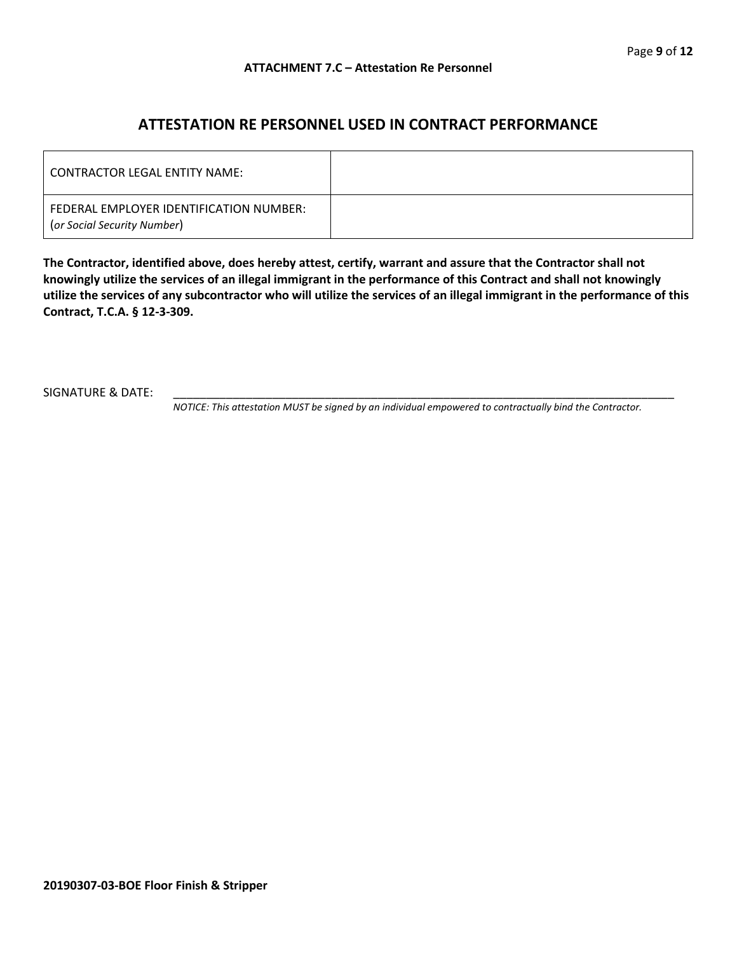### **ATTESTATION RE PERSONNEL USED IN CONTRACT PERFORMANCE**

| LCONTRACTOR LEGAL ENTITY NAME:                                         |  |
|------------------------------------------------------------------------|--|
| FEDERAL EMPLOYER IDENTIFICATION NUMBER:<br>(or Social Security Number) |  |

**The Contractor, identified above, does hereby attest, certify, warrant and assure that the Contractor shall not knowingly utilize the services of an illegal immigrant in the performance of this Contract and shall not knowingly utilize the services of any subcontractor who will utilize the services of an illegal immigrant in the performance of this Contract, T.C.A. § 12-3-309.**

SIGNATURE & DATE:

*NOTICE: This attestation MUST be signed by an individual empowered to contractually bind the Contractor.*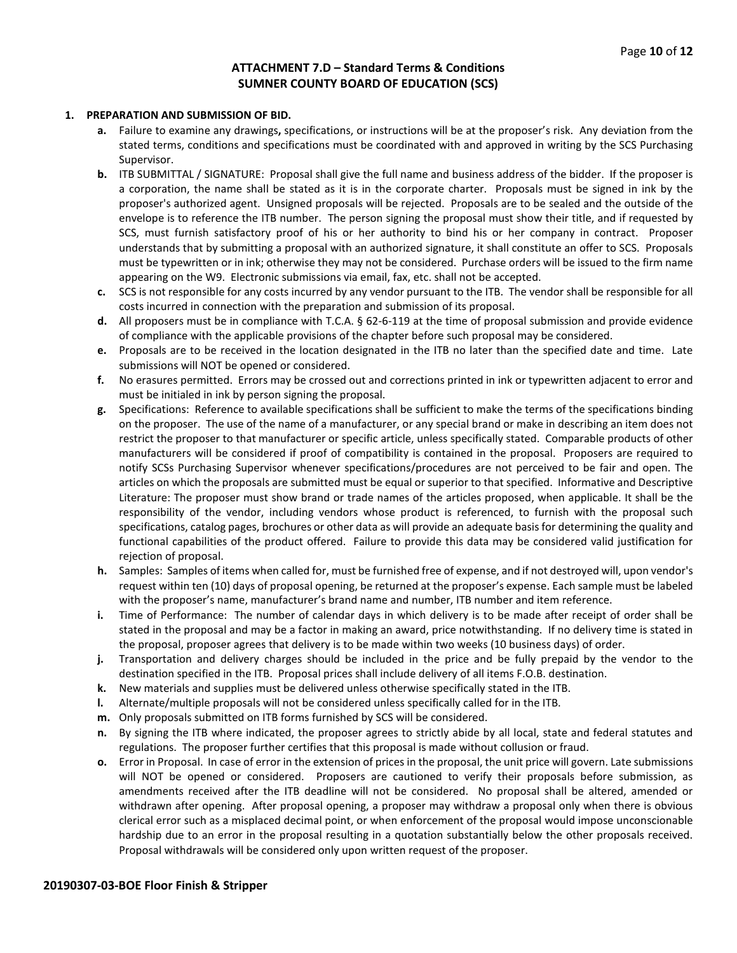#### **ATTACHMENT 7.D – Standard Terms & Conditions SUMNER COUNTY BOARD OF EDUCATION (SCS)**

#### **1. PREPARATION AND SUBMISSION OF BID.**

- **a.** Failure to examine any drawings**,** specifications, or instructions will be at the proposer's risk. Any deviation from the stated terms, conditions and specifications must be coordinated with and approved in writing by the SCS Purchasing Supervisor.
- **b.** ITB SUBMITTAL / SIGNATURE: Proposal shall give the full name and business address of the bidder. If the proposer is a corporation, the name shall be stated as it is in the corporate charter. Proposals must be signed in ink by the proposer's authorized agent. Unsigned proposals will be rejected. Proposals are to be sealed and the outside of the envelope is to reference the ITB number. The person signing the proposal must show their title, and if requested by SCS, must furnish satisfactory proof of his or her authority to bind his or her company in contract. Proposer understands that by submitting a proposal with an authorized signature, it shall constitute an offer to SCS. Proposals must be typewritten or in ink; otherwise they may not be considered. Purchase orders will be issued to the firm name appearing on the W9. Electronic submissions via email, fax, etc. shall not be accepted.
- **c.** SCS is not responsible for any costs incurred by any vendor pursuant to the ITB. The vendor shall be responsible for all costs incurred in connection with the preparation and submission of its proposal.
- **d.** All proposers must be in compliance with T.C.A. § 62-6-119 at the time of proposal submission and provide evidence of compliance with the applicable provisions of the chapter before such proposal may be considered.
- **e.** Proposals are to be received in the location designated in the ITB no later than the specified date and time. Late submissions will NOT be opened or considered.
- **f.** No erasures permitted. Errors may be crossed out and corrections printed in ink or typewritten adjacent to error and must be initialed in ink by person signing the proposal.
- **g.** Specifications: Reference to available specifications shall be sufficient to make the terms of the specifications binding on the proposer. The use of the name of a manufacturer, or any special brand or make in describing an item does not restrict the proposer to that manufacturer or specific article, unless specifically stated. Comparable products of other manufacturers will be considered if proof of compatibility is contained in the proposal. Proposers are required to notify SCSs Purchasing Supervisor whenever specifications/procedures are not perceived to be fair and open. The articles on which the proposals are submitted must be equal or superior to that specified. Informative and Descriptive Literature: The proposer must show brand or trade names of the articles proposed, when applicable. It shall be the responsibility of the vendor, including vendors whose product is referenced, to furnish with the proposal such specifications, catalog pages, brochures or other data as will provide an adequate basis for determining the quality and functional capabilities of the product offered. Failure to provide this data may be considered valid justification for rejection of proposal.
- **h.** Samples: Samples of items when called for, must be furnished free of expense, and if not destroyed will, upon vendor's request within ten (10) days of proposal opening, be returned at the proposer's expense. Each sample must be labeled with the proposer's name, manufacturer's brand name and number, ITB number and item reference.
- **i.** Time of Performance: The number of calendar days in which delivery is to be made after receipt of order shall be stated in the proposal and may be a factor in making an award, price notwithstanding. If no delivery time is stated in the proposal, proposer agrees that delivery is to be made within two weeks (10 business days) of order.
- **j.** Transportation and delivery charges should be included in the price and be fully prepaid by the vendor to the destination specified in the ITB. Proposal prices shall include delivery of all items F.O.B. destination.
- **k.** New materials and supplies must be delivered unless otherwise specifically stated in the ITB.
- **l.** Alternate/multiple proposals will not be considered unless specifically called for in the ITB.
- **m.** Only proposals submitted on ITB forms furnished by SCS will be considered.
- **n.** By signing the ITB where indicated, the proposer agrees to strictly abide by all local, state and federal statutes and regulations. The proposer further certifies that this proposal is made without collusion or fraud.
- **o.** Error in Proposal. In case of error in the extension of prices in the proposal, the unit price will govern. Late submissions will NOT be opened or considered. Proposers are cautioned to verify their proposals before submission, as amendments received after the ITB deadline will not be considered. No proposal shall be altered, amended or withdrawn after opening. After proposal opening, a proposer may withdraw a proposal only when there is obvious clerical error such as a misplaced decimal point, or when enforcement of the proposal would impose unconscionable hardship due to an error in the proposal resulting in a quotation substantially below the other proposals received. Proposal withdrawals will be considered only upon written request of the proposer.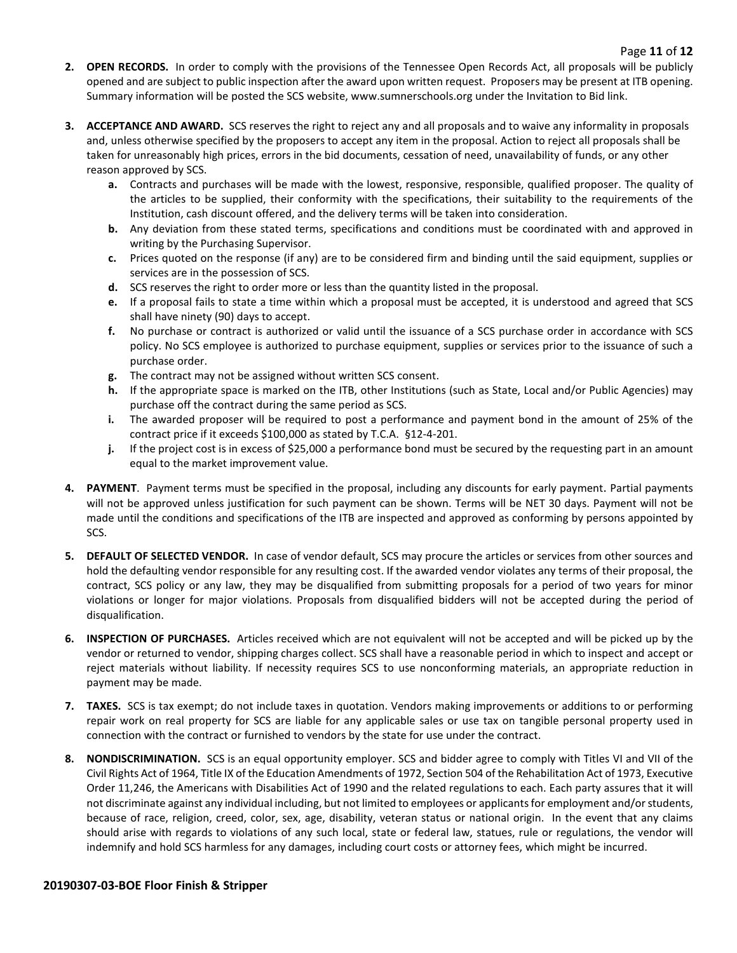- **2. OPEN RECORDS.** In order to comply with the provisions of the Tennessee Open Records Act, all proposals will be publicly opened and are subject to public inspection after the award upon written request. Proposers may be present at ITB opening. Summary information will be posted the SCS website, www.sumnerschools.org under the Invitation to Bid link.
- **3. ACCEPTANCE AND AWARD.** SCS reserves the right to reject any and all proposals and to waive any informality in proposals and, unless otherwise specified by the proposers to accept any item in the proposal. Action to reject all proposals shall be taken for unreasonably high prices, errors in the bid documents, cessation of need, unavailability of funds, or any other reason approved by SCS.
	- **a.** Contracts and purchases will be made with the lowest, responsive, responsible, qualified proposer. The quality of the articles to be supplied, their conformity with the specifications, their suitability to the requirements of the Institution, cash discount offered, and the delivery terms will be taken into consideration.
	- **b.** Any deviation from these stated terms, specifications and conditions must be coordinated with and approved in writing by the Purchasing Supervisor.
	- **c.** Prices quoted on the response (if any) are to be considered firm and binding until the said equipment, supplies or services are in the possession of SCS.
	- **d.** SCS reserves the right to order more or less than the quantity listed in the proposal.
	- **e.** If a proposal fails to state a time within which a proposal must be accepted, it is understood and agreed that SCS shall have ninety (90) days to accept.
	- **f.** No purchase or contract is authorized or valid until the issuance of a SCS purchase order in accordance with SCS policy. No SCS employee is authorized to purchase equipment, supplies or services prior to the issuance of such a purchase order.
	- **g.** The contract may not be assigned without written SCS consent.
	- **h.** If the appropriate space is marked on the ITB, other Institutions (such as State, Local and/or Public Agencies) may purchase off the contract during the same period as SCS.
	- **i.** The awarded proposer will be required to post a performance and payment bond in the amount of 25% of the contract price if it exceeds \$100,000 as stated by T.C.A. §12-4-201.
	- **j.** If the project cost is in excess of \$25,000 a performance bond must be secured by the requesting part in an amount equal to the market improvement value.
- **4. PAYMENT**. Payment terms must be specified in the proposal, including any discounts for early payment. Partial payments will not be approved unless justification for such payment can be shown. Terms will be NET 30 days. Payment will not be made until the conditions and specifications of the ITB are inspected and approved as conforming by persons appointed by SCS.
- **5. DEFAULT OF SELECTED VENDOR.** In case of vendor default, SCS may procure the articles or services from other sources and hold the defaulting vendor responsible for any resulting cost. If the awarded vendor violates any terms of their proposal, the contract, SCS policy or any law, they may be disqualified from submitting proposals for a period of two years for minor violations or longer for major violations. Proposals from disqualified bidders will not be accepted during the period of disqualification.
- **6. INSPECTION OF PURCHASES.** Articles received which are not equivalent will not be accepted and will be picked up by the vendor or returned to vendor, shipping charges collect. SCS shall have a reasonable period in which to inspect and accept or reject materials without liability. If necessity requires SCS to use nonconforming materials, an appropriate reduction in payment may be made.
- **7. TAXES.** SCS is tax exempt; do not include taxes in quotation. Vendors making improvements or additions to or performing repair work on real property for SCS are liable for any applicable sales or use tax on tangible personal property used in connection with the contract or furnished to vendors by the state for use under the contract.
- **8. NONDISCRIMINATION.** SCS is an equal opportunity employer. SCS and bidder agree to comply with Titles VI and VII of the Civil Rights Act of 1964, Title IX of the Education Amendments of 1972, Section 504 of the Rehabilitation Act of 1973, Executive Order 11,246, the Americans with Disabilities Act of 1990 and the related regulations to each. Each party assures that it will not discriminate against any individual including, but not limited to employees or applicants for employment and/or students, because of race, religion, creed, color, sex, age, disability, veteran status or national origin. In the event that any claims should arise with regards to violations of any such local, state or federal law, statues, rule or regulations, the vendor will indemnify and hold SCS harmless for any damages, including court costs or attorney fees, which might be incurred.